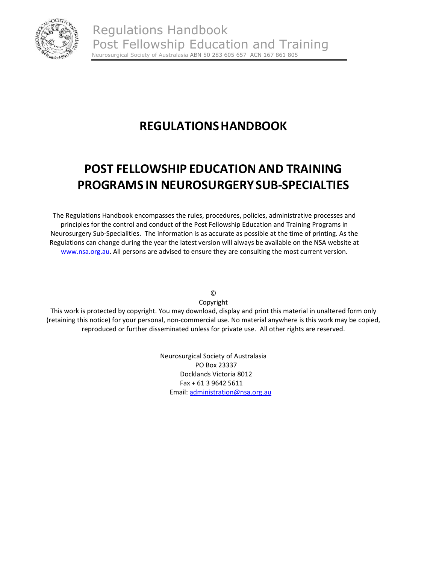

# **REGULATIONSHANDBOOK**

# **POST FELLOWSHIP EDUCATIONAND TRAINING PROGRAMS IN NEUROSURGERYSUB‐SPECIALTIES**

The Regulations Handbook encompasses the rules, procedures, policies, administrative processes and principles for the control and conduct of the Post Fellowship Education and Training Programs in Neurosurgery Sub‐Specialities. The information is as accurate as possible at the time of printing. As the Regulations can change during the year the latest version will always be available on the NSA website at www.nsa.org.au. All persons are advised to ensure they are consulting the most current version.

©

Copyright

This work is protected by copyright. You may download, display and print this material in unaltered form only (retaining this notice) for your personal, non‐commercial use. No material anywhere is this work may be copied, reproduced or further disseminated unless for private use. All other rights are reserved.

> Neurosurgical Society of Australasia PO Box 23337 Docklands Victoria 8012 Fax + 61 3 9642 5611 Email: administration@nsa.org.au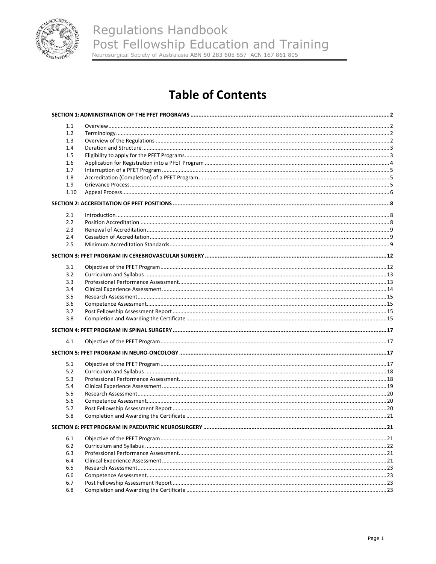

# **Table of Contents**

| 1.1        |  |
|------------|--|
| 1.2        |  |
| 1.3        |  |
| 1.4        |  |
| 1.5        |  |
| 1.6        |  |
| 1.7        |  |
| 1.8        |  |
| 1.9        |  |
| 1.10       |  |
|            |  |
| 2.1        |  |
| 2.2        |  |
| 2.3        |  |
|            |  |
| 2.4<br>2.5 |  |
|            |  |
|            |  |
| 3.1        |  |
| 3.2        |  |
| 3.3        |  |
| 3.4        |  |
| 3.5        |  |
| 3.6        |  |
| 3.7        |  |
| 3.8        |  |
|            |  |
| 4.1        |  |
|            |  |
| 5.1        |  |
| 5.2        |  |
| 5.3        |  |
| 5.4        |  |
| 5.5        |  |
| 5.6        |  |
| 5.7        |  |
| 5.8        |  |
|            |  |
| 6.1        |  |
| 6.2        |  |
| 6.3        |  |
| 6.4        |  |
| 6.5        |  |
| 6.6        |  |
| 6.7        |  |
| 6.8        |  |
|            |  |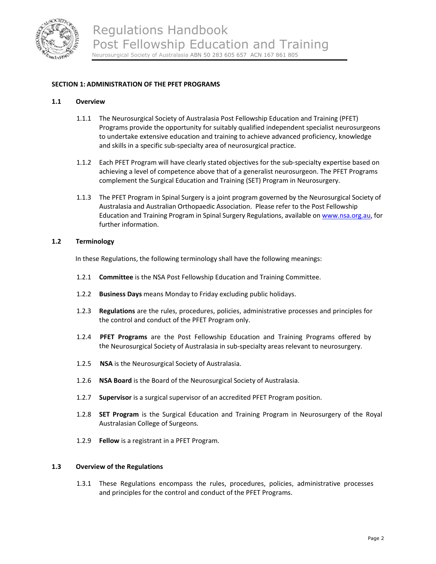

## **SECTION 1: ADMINISTRATION OF THE PFET PROGRAMS**

#### **1.1 Overview**

- 1.1.1 The Neurosurgical Society of Australasia Post Fellowship Education and Training (PFET) Programs provide the opportunity for suitably qualified independent specialist neurosurgeons to undertake extensive education and training to achieve advanced proficiency, knowledge and skills in a specific sub‐specialty area of neurosurgical practice.
- 1.1.2 Each PFET Program will have clearly stated objectives for the sub-specialty expertise based on achieving a level of competence above that of a generalist neurosurgeon. The PFET Programs complement the Surgical Education and Training (SET) Program in Neurosurgery.
- 1.1.3 The PFET Program in Spinal Surgery is a joint program governed by the Neurosurgical Society of Australasia and Australian Orthopaedic Association. Please refer to the Post Fellowship Education and Training Program in Spinal Surgery Regulations, available on www.nsa.org.au, for further information.

#### **1.2 Terminology**

In these Regulations, the following terminology shall have the following meanings:

- 1.2.1 **Committee** is the NSA Post Fellowship Education and Training Committee.
- 1.2.2 **Business Days** means Monday to Friday excluding public holidays.
- 1.2.3 **Regulations** are the rules, procedures, policies, administrative processes and principles for the control and conduct of the PFET Program only.
- 1.2.4 **PFET Programs** are the Post Fellowship Education and Training Programs offered by the Neurosurgical Society of Australasia in sub‐specialty areas relevant to neurosurgery.
- 1.2.5 **NSA** is the Neurosurgical Society of Australasia.
- 1.2.6 **NSA Board** is the Board of the Neurosurgical Society of Australasia.
- 1.2.7 **Supervisor** is a surgical supervisor of an accredited PFET Program position.
- 1.2.8 **SET Program** is the Surgical Education and Training Program in Neurosurgery of the Royal Australasian College of Surgeons.
- 1.2.9 **Fellow** is a registrant in a PFET Program.

### **1.3 Overview of the Regulations**

1.3.1 These Regulations encompass the rules, procedures, policies, administrative processes and principles for the control and conduct of the PFET Programs.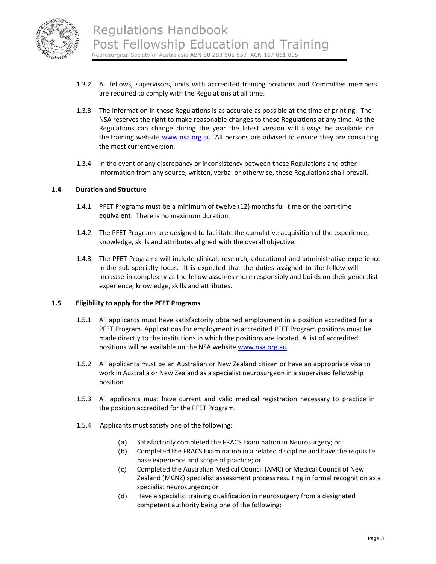

- 1.3.2 All fellows, supervisors, units with accredited training positions and Committee members are required to comply with the Regulations at all time.
- 1.3.3 The information in these Regulations is as accurate as possible at the time of printing. The NSA reserves the right to make reasonable changes to these Regulations at any time. As the Regulations can change during the year the latest version will always be available on the training website www.nsa.org.au. All persons are advised to ensure they are consulting the most current version.
- 1.3.4 In the event of any discrepancy or inconsistency between these Regulations and other information from any source, written, verbal or otherwise, these Regulations shall prevail.

#### **1.4 Duration and Structure**

- 1.4.1 PFET Programs must be a minimum of twelve (12) months full time or the part‐time equivalent. There is no maximum duration.
- 1.4.2 The PFET Programs are designed to facilitate the cumulative acquisition of the experience, knowledge, skills and attributes aligned with the overall objective.
- 1.4.3 The PFET Programs will include clinical, research, educational and administrative experience in the sub‐specialty focus. It is expected that the duties assigned to the fellow will increase in complexity as the fellow assumes more responsibly and builds on their generalist experience, knowledge, skills and attributes.

#### **1.5 Eligibility to apply for the PFET Programs**

- 1.5.1 All applicants must have satisfactorily obtained employment in a position accredited for a PFET Program. Applications for employment in accredited PFET Program positions must be made directly to the institutions in which the positions are located. A list of accredited positions will be available on the NSA website www.nsa.org.au.
- 1.5.2 All applicants must be an Australian or New Zealand citizen or have an appropriate visa to work in Australia or New Zealand as a specialist neurosurgeon in a supervised fellowship position.
- 1.5.3 All applicants must have current and valid medical registration necessary to practice in the position accredited for the PFET Program.
- 1.5.4 Applicants must satisfy one of the following:
	- (a) Satisfactorily completed the FRACS Examination in Neurosurgery; or
	- (b) Completed the FRACS Examination in a related discipline and have the requisite base experience and scope of practice; or
	- (c) Completed the Australian Medical Council (AMC) or Medical Council of New Zealand (MCNZ) specialist assessment process resulting in formal recognition as a specialist neurosurgeon; or
	- (d) Have a specialist training qualification in neurosurgery from a designated competent authority being one of the following: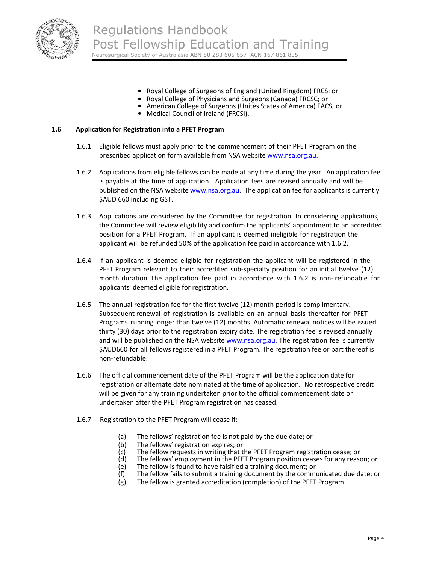

- Royal College of Surgeons of England (United Kingdom) FRCS; or<br>• Royal College of Physicians and Surgeons (Canada) FRCSC; or
- 
- American College of Surgeons (Unites States of America) FACS; or<br>• Medical Council of Ireland (FRCSI).
- 

#### **1.6 Application for Registration into a PFET Program**

- 1.6.1 Eligible fellows must apply prior to the commencement of their PFET Program on the prescribed application form available from NSA website www.nsa.org.au.
- 1.6.2 Applications from eligible fellows can be made at any time during the year. An application fee is payable at the time of application. Application fees are revised annually and will be published on the NSA website www.nsa.org.au. The application fee for applicants is currently \$AUD 660 including GST.
- 1.6.3 Applications are considered by the Committee for registration. In considering applications, the Committee will review eligibility and confirm the applicants' appointment to an accredited position for a PFET Program. If an applicant is deemed ineligible for registration the applicant will be refunded 50% of the application fee paid in accordance with 1.6.2.
- 1.6.4 If an applicant is deemed eligible for registration the applicant will be registered in the PFET Program relevant to their accredited sub-specialty position for an initial twelve (12) month duration. The application fee paid in accordance with 1.6.2 is non-refundable for applicants deemed eligible for registration.
- 1.6.5 The annual registration fee for the first twelve (12) month period is complimentary. Subsequent renewal of registration is available on an annual basis thereafter for PFET Programs running longer than twelve (12) months. Automatic renewal notices will be issued thirty (30) days prior to the registration expiry date. The registration fee is revised annually and will be published on the NSA website www.nsa.org.au. The registration fee is currently \$AUD660 for all fellows registered in a PFET Program. The registration fee or part thereof is non‐refundable.
- 1.6.6 The official commencement date of the PFET Program will be the application date for registration or alternate date nominated at the time of application. No retrospective credit will be given for any training undertaken prior to the official commencement date or undertaken after the PFET Program registration has ceased.
- 1.6.7 Registration to the PFET Program will cease if:
	- (a) The fellows' registration fee is not paid by the due date; or
	- (b) The fellows' registration expires; or
	- (c) The fellow requests in writing that the PFET Program registration cease; or
	- $(d)$  The fellows' employment in the PFET Program position ceases for any reason; or  $(e)$  The fellow is found to have falsified a training document; or
	- The fellow is found to have falsified a training document; or
	- (f) The fellow fails to submit a training document by the communicated due date; or
	- (g) The fellow is granted accreditation (completion) of the PFET Program.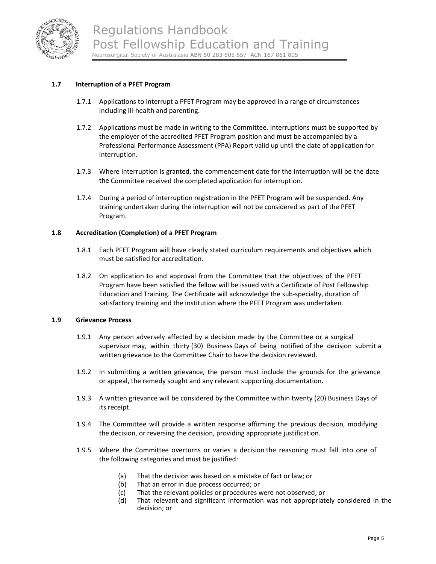

## **1.7 Interruption of a PFET Program**

- 1.7.1 Applications to interrupt a PFET Program may be approved in a range of circumstances including ill‐health and parenting.
- 1.7.2 Applications must be made in writing to the Committee. Interruptions must be supported by the employer of the accredited PFET Program position and must be accompanied by a Professional Performance Assessment (PPA) Report valid up until the date of application for interruption.
- 1.7.3 Where interruption is granted, the commencement date for the interruption will be the date the Committee received the completed application for interruption.
- 1.7.4 During a period of interruption registration in the PFET Program will be suspended. Any training undertaken during the interruption will not be considered as part of the PFET Program.

#### **1.8 Accreditation (Completion) of a PFET Program**

- 1.8.1 Each PFET Program will have clearly stated curriculum requirements and objectives which must be satisfied for accreditation.
- 1.8.2 On application to and approval from the Committee that the objectives of the PFET Program have been satisfied the fellow will be issued with a Certificate of Post Fellowship Education and Training. The Certificate will acknowledge the sub‐specialty, duration of satisfactory training and the institution where the PFET Program was undertaken.

#### **1.9 Grievance Process**

- 1.9.1 Any person adversely affected by a decision made by the Committee or a surgical supervisor may, within thirty (30) Business Days of being notified of the decision submit a written grievance to the Committee Chair to have the decision reviewed.
- 1.9.2 In submitting a written grievance, the person must include the grounds for the grievance or appeal, the remedy sought and any relevant supporting documentation.
- 1.9.3 A written grievance will be considered by the Committee within twenty (20) Business Days of its receipt.
- 1.9.4 The Committee will provide a written response affirming the previous decision, modifying the decision, or reversing the decision, providing appropriate justification.
- 1.9.5 Where the Committee overturns or varies a decision the reasoning must fall into one of the following categories and must be justified:
	- (a) That the decision was based on a mistake of fact or law; or
	- (b) That an error in due process occurred; or
	- (c) That the relevant policies or procedures were not observed; or
	- (d) That relevant and significant information was not appropriately considered in the decision; or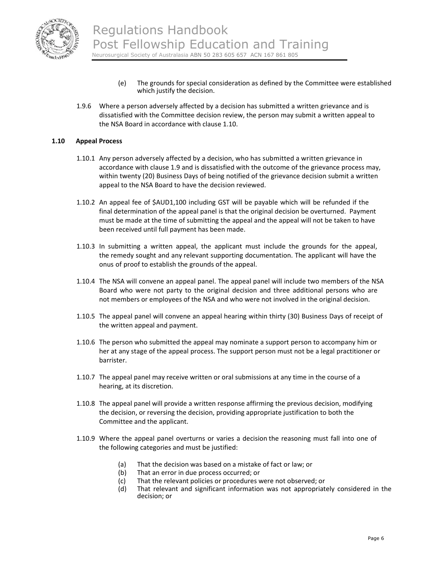

- (e) The grounds for special consideration as defined by the Committee were established which justify the decision.
- 1.9.6 Where a person adversely affected by a decision has submitted a written grievance and is dissatisfied with the Committee decision review, the person may submit a written appeal to the NSA Board in accordance with clause 1.10.

#### **1.10 Appeal Process**

- 1.10.1 Any person adversely affected by a decision, who has submitted a written grievance in accordance with clause 1.9 and is dissatisfied with the outcome of the grievance process may, within twenty (20) Business Days of being notified of the grievance decision submit a written appeal to the NSA Board to have the decision reviewed.
- 1.10.2 An appeal fee of \$AUD1,100 including GST will be payable which will be refunded if the final determination of the appeal panel is that the original decision be overturned. Payment must be made at the time of submitting the appeal and the appeal will not be taken to have been received until full payment has been made.
- 1.10.3 In submitting a written appeal, the applicant must include the grounds for the appeal, the remedy sought and any relevant supporting documentation. The applicant will have the onus of proof to establish the grounds of the appeal.
- 1.10.4 The NSA will convene an appeal panel. The appeal panel will include two members of the NSA Board who were not party to the original decision and three additional persons who are not members or employees of the NSA and who were not involved in the original decision.
- 1.10.5 The appeal panel will convene an appeal hearing within thirty (30) Business Days of receipt of the written appeal and payment.
- 1.10.6 The person who submitted the appeal may nominate a support person to accompany him or her at any stage of the appeal process. The support person must not be a legal practitioner or barrister.
- 1.10.7 The appeal panel may receive written or oral submissions at any time in the course of a hearing, at its discretion.
- 1.10.8 The appeal panel will provide a written response affirming the previous decision, modifying the decision, or reversing the decision, providing appropriate justification to both the Committee and the applicant.
- 1.10.9 Where the appeal panel overturns or varies a decision the reasoning must fall into one of the following categories and must be justified:
	- (a) That the decision was based on a mistake of fact or law; or
	- (b) That an error in due process occurred; or
	- (c) That the relevant policies or procedures were not observed; or
	- (d) That relevant and significant information was not appropriately considered in the decision; or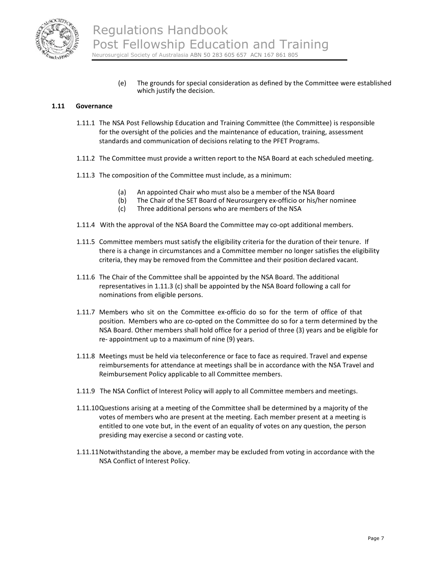

(e) The grounds for special consideration as defined by the Committee were established which justify the decision.

#### **1.11 Governance**

- 1.11.1 The NSA Post Fellowship Education and Training Committee (the Committee) is responsible for the oversight of the policies and the maintenance of education, training, assessment standards and communication of decisions relating to the PFET Programs.
- 1.11.2 The Committee must provide a written report to the NSA Board at each scheduled meeting.
- 1.11.3 The composition of the Committee must include, as a minimum:
	- (a) An appointed Chair who must also be a member of the NSA Board
	- (b) The Chair of the SET Board of Neurosurgery ex‐officio or his/her nominee
	- (c) Three additional persons who are members of the NSA
- 1.11.4 With the approval of the NSA Board the Committee may co-opt additional members.
- 1.11.5 Committee members must satisfy the eligibility criteria for the duration of their tenure. If there is a change in circumstances and a Committee member no longer satisfies the eligibility criteria, they may be removed from the Committee and their position declared vacant.
- 1.11.6 The Chair of the Committee shall be appointed by the NSA Board. The additional representatives in 1.11.3 (c) shall be appointed by the NSA Board following a call for nominations from eligible persons.
- 1.11.7 Members who sit on the Committee ex-officio do so for the term of office of that position. Members who are co‐opted on the Committee do so for a term determined by the NSA Board. Other members shall hold office for a period of three (3) years and be eligible for re- appointment up to a maximum of nine (9) years.
- 1.11.8 Meetings must be held via teleconference or face to face as required. Travel and expense reimbursements for attendance at meetings shall be in accordance with the NSA Travel and Reimbursement Policy applicable to all Committee members.
- 1.11.9 The NSA Conflict of Interest Policy will apply to all Committee members and meetings.
- 1.11.10Questions arising at a meeting of the Committee shall be determined by a majority of the votes of members who are present at the meeting. Each member present at a meeting is entitled to one vote but, in the event of an equality of votes on any question, the person presiding may exercise a second or casting vote.
- 1.11.11Notwithstanding the above, a member may be excluded from voting in accordance with the NSA Conflict of Interest Policy.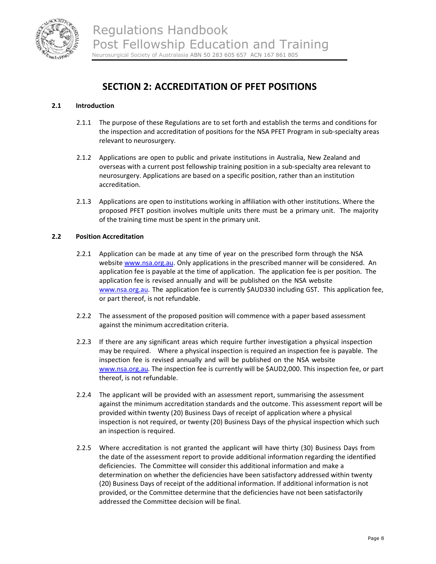

# **SECTION 2: ACCREDITATION OF PFET POSITIONS**

### **2.1 Introduction**

- 2.1.1 The purpose of these Regulations are to set forth and establish the terms and conditions for the inspection and accreditation of positions for the NSA PFET Program in sub-specialty areas relevant to neurosurgery.
- 2.1.2 Applications are open to public and private institutions in Australia, New Zealand and overseas with a current post fellowship training position in a sub‐specialty area relevant to neurosurgery. Applications are based on a specific position, rather than an institution accreditation.
- 2.1.3 Applications are open to institutions working in affiliation with other institutions. Where the proposed PFET position involves multiple units there must be a primary unit. The majority of the training time must be spent in the primary unit.

## **2.2 Position Accreditation**

- 2.2.1 Application can be made at any time of year on the prescribed form through the NSA website www.nsa.org.au. Only applications in the prescribed manner will be considered. An application fee is payable at the time of application. The application fee is per position. The application fee is revised annually and will be published on the NSA website www.nsa.org.au. The application fee is currently \$AUD330 including GST. This application fee, or part thereof, is not refundable.
- 2.2.2 The assessment of the proposed position will commence with a paper based assessment against the minimum accreditation criteria.
- 2.2.3 If there are any significant areas which require further investigation a physical inspection may be required. Where a physical inspection is required an inspection fee is payable. The inspection fee is revised annually and will be published on the NSA website www.nsa.org.au. The inspection fee is currently will be \$AUD2,000. This inspection fee, or part thereof, is not refundable.
- 2.2.4 The applicant will be provided with an assessment report, summarising the assessment against the minimum accreditation standards and the outcome. This assessment report will be provided within twenty (20) Business Days of receipt of application where a physical inspection is not required, or twenty (20) Business Days of the physical inspection which such an inspection is required.
- 2.2.5 Where accreditation is not granted the applicant will have thirty (30) Business Days from the date of the assessment report to provide additional information regarding the identified deficiencies. The Committee will consider this additional information and make a determination on whether the deficiencies have been satisfactory addressed within twenty (20) Business Days of receipt of the additional information. If additional information is not provided, or the Committee determine that the deficiencies have not been satisfactorily addressed the Committee decision will be final.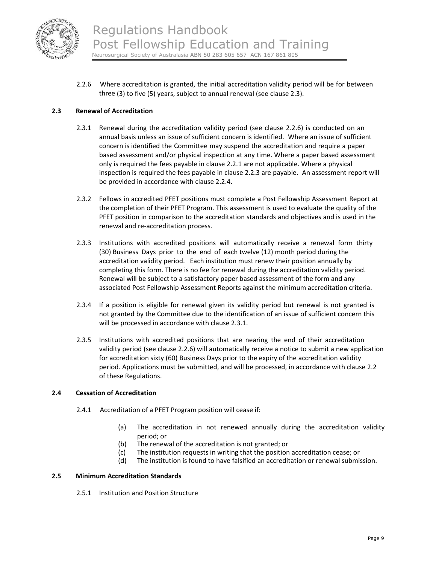

2.2.6 Where accreditation is granted, the initial accreditation validity period will be for between three (3) to five (5) years, subject to annual renewal (see clause 2.3).

## **2.3 Renewal of Accreditation**

- 2.3.1 Renewal during the accreditation validity period (see clause 2.2.6) is conducted on an annual basis unless an issue of sufficient concern is identified. Where an issue of sufficient concern is identified the Committee may suspend the accreditation and require a paper based assessment and/or physical inspection at any time. Where a paper based assessment only is required the fees payable in clause 2.2.1 are not applicable. Where a physical inspection is required the fees payable in clause 2.2.3 are payable. An assessment report will be provided in accordance with clause 2.2.4.
- 2.3.2 Fellows in accredited PFET positions must complete a Post Fellowship Assessment Report at the completion of their PFET Program. This assessment is used to evaluate the quality of the PFET position in comparison to the accreditation standards and objectives and is used in the renewal and re‐accreditation process.
- 2.3.3 Institutions with accredited positions will automatically receive a renewal form thirty (30) Business Days prior to the end of each twelve (12) month period during the accreditation validity period. Each institution must renew their position annually by completing this form. There is no fee for renewal during the accreditation validity period. Renewal will be subject to a satisfactory paper based assessment of the form and any associated Post Fellowship Assessment Reports against the minimum accreditation criteria.
- 2.3.4 If a position is eligible for renewal given its validity period but renewal is not granted is not granted by the Committee due to the identification of an issue of sufficient concern this will be processed in accordance with clause 2.3.1.
- 2.3.5 Institutions with accredited positions that are nearing the end of their accreditation validity period (see clause 2.2.6) will automatically receive a notice to submit a new application for accreditation sixty (60) Business Days prior to the expiry of the accreditation validity period. Applications must be submitted, and will be processed, in accordance with clause 2.2 of these Regulations.

#### **2.4 Cessation of Accreditation**

- 2.4.1 Accreditation of a PFET Program position will cease if:
	- (a) The accreditation in not renewed annually during the accreditation validity period; or
	- (b) The renewal of the accreditation is not granted; or
	- (c) The institution requests in writing that the position accreditation cease; or
	- (d) The institution is found to have falsified an accreditation or renewal submission.

#### **2.5 Minimum Accreditation Standards**

2.5.1 Institution and Position Structure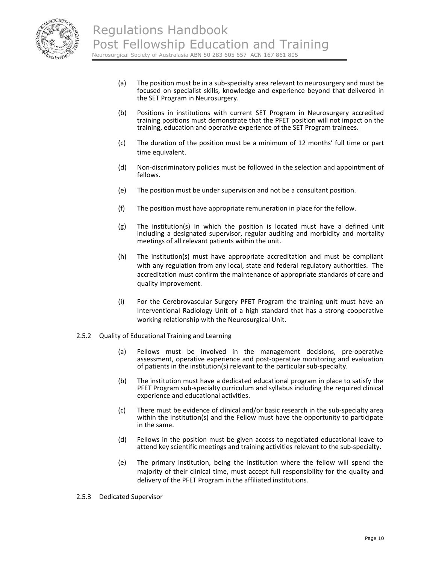

- (a) The position must be in a sub‐specialty area relevant to neurosurgery and must be focused on specialist skills, knowledge and experience beyond that delivered in the SET Program in Neurosurgery.
- (b) Positions in institutions with current SET Program in Neurosurgery accredited training positions must demonstrate that the PFET position will not impact on the training, education and operative experience of the SET Program trainees.
- (c) The duration of the position must be a minimum of 12 months' full time or part time equivalent.
- (d) Non‐discriminatory policies must be followed in the selection and appointment of fellows.
- (e) The position must be under supervision and not be a consultant position.
- (f) The position must have appropriate remuneration in place for the fellow.
- (g) The institution(s) in which the position is located must have a defined unit including a designated supervisor, regular auditing and morbidity and mortality meetings of all relevant patients within the unit.
- (h) The institution(s) must have appropriate accreditation and must be compliant with any regulation from any local, state and federal regulatory authorities. The accreditation must confirm the maintenance of appropriate standards of care and quality improvement.
- (i) For the Cerebrovascular Surgery PFET Program the training unit must have an Interventional Radiology Unit of a high standard that has a strong cooperative working relationship with the Neurosurgical Unit.
- 2.5.2 Quality of Educational Training and Learning
	- (a) Fellows must be involved in the management decisions, pre‐operative assessment, operative experience and post‐operative monitoring and evaluation of patients in the institution(s) relevant to the particular sub‐specialty.
	- (b) The institution must have a dedicated educational program in place to satisfy the PFET Program sub-specialty curriculum and syllabus including the required clinical experience and educational activities.
	- (c) There must be evidence of clinical and/or basic research in the sub‐specialty area within the institution(s) and the Fellow must have the opportunity to participate in the same.
	- (d) Fellows in the position must be given access to negotiated educational leave to attend key scientific meetings and training activities relevant to the sub‐specialty.
	- (e) The primary institution, being the institution where the fellow will spend the majority of their clinical time, must accept full responsibility for the quality and delivery of the PFET Program in the affiliated institutions.
- 2.5.3 Dedicated Supervisor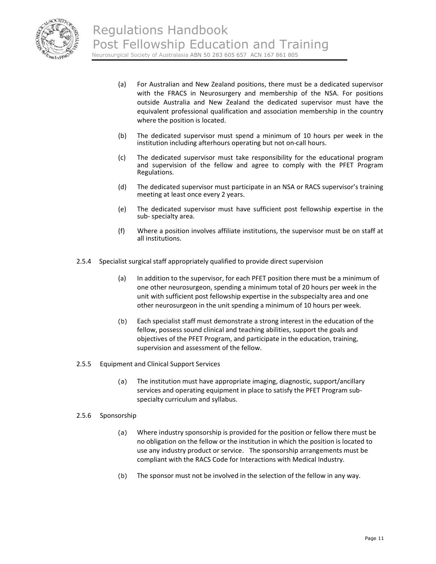

- (a) For Australian and New Zealand positions, there must be a dedicated supervisor with the FRACS in Neurosurgery and membership of the NSA. For positions outside Australia and New Zealand the dedicated supervisor must have the equivalent professional qualification and association membership in the country where the position is located.
- (b) The dedicated supervisor must spend a minimum of 10 hours per week in the institution including afterhours operating but not on‐call hours.
- (c) The dedicated supervisor must take responsibility for the educational program and supervision of the fellow and agree to comply with the PFET Program Regulations.
- (d) The dedicated supervisor must participate in an NSA or RACS supervisor's training meeting at least once every 2 years.
- (e) The dedicated supervisor must have sufficient post fellowship expertise in the sub‐ specialty area.
- (f) Where a position involves affiliate institutions, the supervisor must be on staff at all institutions.
- 2.5.4 Specialist surgical staff appropriately qualified to provide direct supervision
	- (a) In addition to the supervisor, for each PFET position there must be a minimum of one other neurosurgeon, spending a minimum total of 20 hours per week in the unit with sufficient post fellowship expertise in the subspecialty area and one other neurosurgeon in the unit spending a minimum of 10 hours per week.
	- (b) Each specialist staff must demonstrate a strong interest in the education of the fellow, possess sound clinical and teaching abilities, support the goals and objectives of the PFET Program, and participate in the education, training, supervision and assessment of the fellow.
- 2.5.5 Equipment and Clinical Support Services
	- (a) The institution must have appropriate imaging, diagnostic, support/ancillary services and operating equipment in place to satisfy the PFET Program sub‐ specialty curriculum and syllabus.

#### 2.5.6 Sponsorship

- (a) Where industry sponsorship is provided for the position or fellow there must be no obligation on the fellow or the institution in which the position is located to use any industry product or service. The sponsorship arrangements must be compliant with the RACS Code for Interactions with Medical Industry.
- (b) The sponsor must not be involved in the selection of the fellow in any way.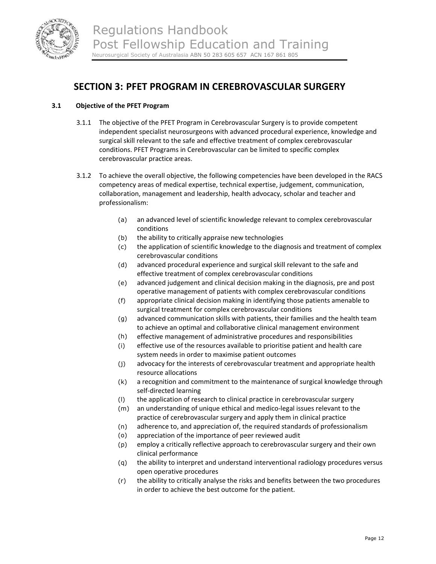

# **SECTION 3: PFET PROGRAM IN CEREBROVASCULAR SURGERY**

## **3.1 Objective of the PFET Program**

- 3.1.1 The objective of the PFET Program in Cerebrovascular Surgery is to provide competent independent specialist neurosurgeons with advanced procedural experience, knowledge and surgical skill relevant to the safe and effective treatment of complex cerebrovascular conditions. PFET Programs in Cerebrovascular can be limited to specific complex cerebrovascular practice areas.
- 3.1.2 To achieve the overall objective, the following competencies have been developed in the RACS competency areas of medical expertise, technical expertise, judgement, communication, collaboration, management and leadership, health advocacy, scholar and teacher and professionalism:
	- (a) an advanced level of scientific knowledge relevant to complex cerebrovascular conditions
	- (b) the ability to critically appraise new technologies
	- (c) the application of scientific knowledge to the diagnosis and treatment of complex cerebrovascular conditions
	- (d) advanced procedural experience and surgical skill relevant to the safe and effective treatment of complex cerebrovascular conditions
	- (e) advanced judgement and clinical decision making in the diagnosis, pre and post operative management of patients with complex cerebrovascular conditions
	- (f) appropriate clinical decision making in identifying those patients amenable to surgical treatment for complex cerebrovascular conditions
	- (g) advanced communication skills with patients, their families and the health team to achieve an optimal and collaborative clinical management environment
	- (h) effective management of administrative procedures and responsibilities
	- (i) effective use of the resources available to prioritise patient and health care system needs in order to maximise patient outcomes
	- (j) advocacy for the interests of cerebrovascular treatment and appropriate health resource allocations
	- (k) a recognition and commitment to the maintenance of surgical knowledge through self‐directed learning
	- (l) the application of research to clinical practice in cerebrovascular surgery
	- (m) an understanding of unique ethical and medico‐legal issues relevant to the practice of cerebrovascular surgery and apply them in clinical practice
	- (n) adherence to, and appreciation of, the required standards of professionalism
	- (o) appreciation of the importance of peer reviewed audit
	- (p) employ a critically reflective approach to cerebrovascular surgery and their own clinical performance
	- (q) the ability to interpret and understand interventional radiology procedures versus open operative procedures
	- (r) the ability to critically analyse the risks and benefits between the two procedures in order to achieve the best outcome for the patient.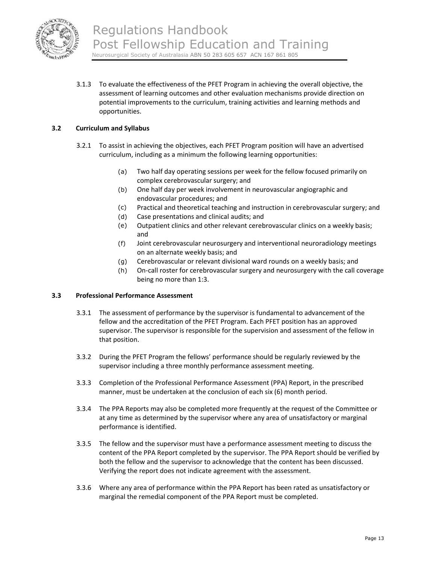

3.1.3 To evaluate the effectiveness of the PFET Program in achieving the overall objective, the assessment of learning outcomes and other evaluation mechanisms provide direction on potential improvements to the curriculum, training activities and learning methods and opportunities.

### **3.2 Curriculum and Syllabus**

- 3.2.1 To assist in achieving the objectives, each PFET Program position will have an advertised curriculum, including as a minimum the following learning opportunities:
	- (a) Two half day operating sessions per week for the fellow focused primarily on complex cerebrovascular surgery; and
	- (b) One half day per week involvement in neurovascular angiographic and endovascular procedures; and
	- (c) Practical and theoretical teaching and instruction in cerebrovascular surgery; and
	- (d) Case presentations and clinical audits; and
	- (e) Outpatient clinics and other relevant cerebrovascular clinics on a weekly basis; and
	- (f) Joint cerebrovascular neurosurgery and interventional neuroradiology meetings on an alternate weekly basis; and
	- (g) Cerebrovascular or relevant divisional ward rounds on a weekly basis; and
	- (h) On-call roster for cerebrovascular surgery and neurosurgery with the call coverage being no more than 1:3.

#### **3.3 Professional Performance Assessment**

- 3.3.1 The assessment of performance by the supervisor is fundamental to advancement of the fellow and the accreditation of the PFET Program. Each PFET position has an approved supervisor. The supervisor is responsible for the supervision and assessment of the fellow in that position.
- 3.3.2 During the PFET Program the fellows' performance should be regularly reviewed by the supervisor including a three monthly performance assessment meeting.
- 3.3.3 Completion of the Professional Performance Assessment (PPA) Report, in the prescribed manner, must be undertaken at the conclusion of each six (6) month period.
- 3.3.4 The PPA Reports may also be completed more frequently at the request of the Committee or at any time as determined by the supervisor where any area of unsatisfactory or marginal performance is identified.
- 3.3.5 The fellow and the supervisor must have a performance assessment meeting to discuss the content of the PPA Report completed by the supervisor. The PPA Report should be verified by both the fellow and the supervisor to acknowledge that the content has been discussed. Verifying the report does not indicate agreement with the assessment.
- 3.3.6 Where any area of performance within the PPA Report has been rated as unsatisfactory or marginal the remedial component of the PPA Report must be completed.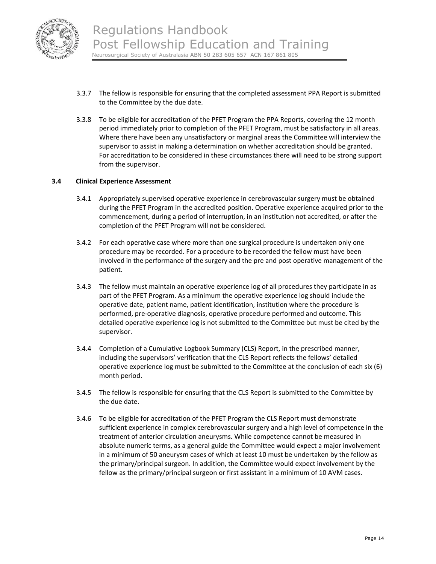

- 3.3.7 The fellow is responsible for ensuring that the completed assessment PPA Report is submitted to the Committee by the due date.
- 3.3.8 To be eligible for accreditation of the PFET Program the PPA Reports, covering the 12 month period immediately prior to completion of the PFET Program, must be satisfactory in all areas. Where there have been any unsatisfactory or marginal areas the Committee will interview the supervisor to assist in making a determination on whether accreditation should be granted. For accreditation to be considered in these circumstances there will need to be strong support from the supervisor.

#### **3.4 Clinical Experience Assessment**

- 3.4.1 Appropriately supervised operative experience in cerebrovascular surgery must be obtained during the PFET Program in the accredited position. Operative experience acquired prior to the commencement, during a period of interruption, in an institution not accredited, or after the completion of the PFET Program will not be considered.
- 3.4.2 For each operative case where more than one surgical procedure is undertaken only one procedure may be recorded. For a procedure to be recorded the fellow must have been involved in the performance of the surgery and the pre and post operative management of the patient.
- 3.4.3 The fellow must maintain an operative experience log of all procedures they participate in as part of the PFET Program. As a minimum the operative experience log should include the operative date, patient name, patient identification, institution where the procedure is performed, pre‐operative diagnosis, operative procedure performed and outcome. This detailed operative experience log is not submitted to the Committee but must be cited by the supervisor.
- 3.4.4 Completion of a Cumulative Logbook Summary (CLS) Report, in the prescribed manner, including the supervisors' verification that the CLS Report reflects the fellows' detailed operative experience log must be submitted to the Committee at the conclusion of each six (6) month period.
- 3.4.5 The fellow is responsible for ensuring that the CLS Report is submitted to the Committee by the due date.
- 3.4.6 To be eligible for accreditation of the PFET Program the CLS Report must demonstrate sufficient experience in complex cerebrovascular surgery and a high level of competence in the treatment of anterior circulation aneurysms. While competence cannot be measured in absolute numeric terms, as a general guide the Committee would expect a major involvement in a minimum of 50 aneurysm cases of which at least 10 must be undertaken by the fellow as the primary/principal surgeon. In addition, the Committee would expect involvement by the fellow as the primary/principal surgeon or first assistant in a minimum of 10 AVM cases.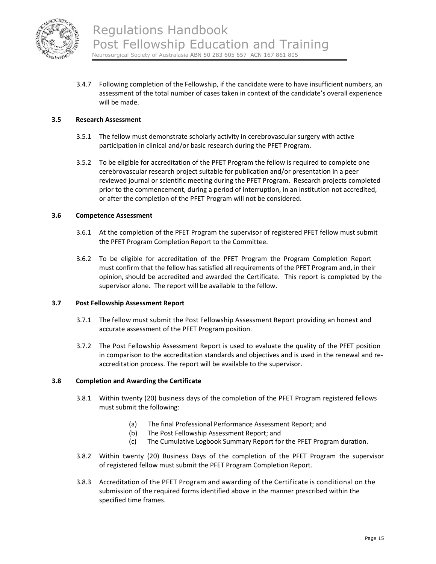

3.4.7 Following completion of the Fellowship, if the candidate were to have insufficient numbers, an assessment of the total number of cases taken in context of the candidate's overall experience will be made.

#### **3.5 Research Assessment**

- 3.5.1 The fellow must demonstrate scholarly activity in cerebrovascular surgery with active participation in clinical and/or basic research during the PFET Program.
- 3.5.2 To be eligible for accreditation of the PFET Program the fellow is required to complete one cerebrovascular research project suitable for publication and/or presentation in a peer reviewed journal or scientific meeting during the PFET Program. Research projects completed prior to the commencement, during a period of interruption, in an institution not accredited, or after the completion of the PFET Program will not be considered.

#### **3.6 Competence Assessment**

- 3.6.1 At the completion of the PFET Program the supervisor of registered PFET fellow must submit the PFET Program Completion Report to the Committee.
- 3.6.2 To be eligible for accreditation of the PFET Program the Program Completion Report must confirm that the fellow has satisfied all requirements of the PFET Program and, in their opinion, should be accredited and awarded the Certificate. This report is completed by the supervisor alone. The report will be available to the fellow.

#### **3.7 Post Fellowship Assessment Report**

- 3.7.1 The fellow must submit the Post Fellowship Assessment Report providing an honest and accurate assessment of the PFET Program position.
- 3.7.2 The Post Fellowship Assessment Report is used to evaluate the quality of the PFET position in comparison to the accreditation standards and objectives and is used in the renewal and re‐ accreditation process. The report will be available to the supervisor.

#### **3.8 Completion and Awarding the Certificate**

- 3.8.1 Within twenty (20) business days of the completion of the PFET Program registered fellows must submit the following:
	- (a) The final Professional Performance Assessment Report; and
	- (b) The Post Fellowship Assessment Report; and
	- (c) The Cumulative Logbook Summary Report for the PFET Program duration.
- 3.8.2 Within twenty (20) Business Days of the completion of the PFET Program the supervisor of registered fellow must submit the PFET Program Completion Report.
- 3.8.3 Accreditation of the PFET Program and awarding of the Certificate is conditional on the submission of the required forms identified above in the manner prescribed within the specified time frames.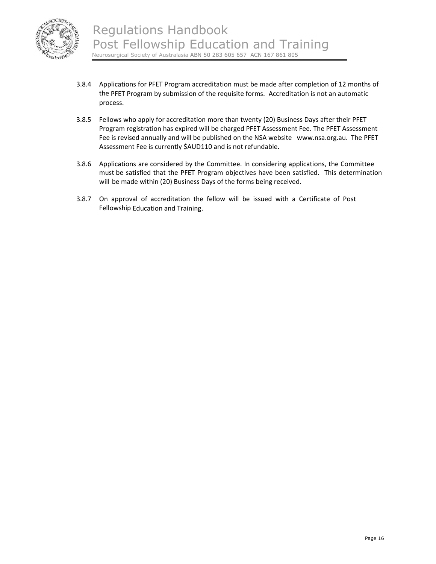

- 3.8.4 Applications for PFET Program accreditation must be made after completion of 12 months of the PFET Program by submission of the requisite forms. Accreditation is not an automatic process.
- 3.8.5 Fellows who apply for accreditation more than twenty (20) Business Days after their PFET Program registration has expired will be charged PFET Assessment Fee. The PFET Assessment Fee is revised annually and will be published on the NSA website www.nsa.org.au. The PFET Assessment Fee is currently \$AUD110 and is not refundable.
- 3.8.6 Applications are considered by the Committee. In considering applications, the Committee must be satisfied that the PFET Program objectives have been satisfied. This determination will be made within (20) Business Days of the forms being received.
- 3.8.7 On approval of accreditation the fellow will be issued with a Certificate of Post Fellowship Education and Training.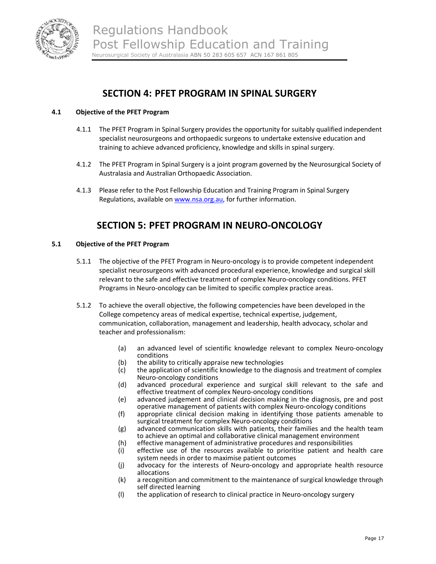

# **SECTION 4: PFET PROGRAM IN SPINAL SURGERY**

## **4.1 Objective of the PFET Program**

- 4.1.1 The PFET Program in Spinal Surgery provides the opportunity for suitably qualified independent specialist neurosurgeons and orthopaedic surgeons to undertake extensive education and training to achieve advanced proficiency, knowledge and skills in spinal surgery.
- 4.1.2 The PFET Program in Spinal Surgery is a joint program governed by the Neurosurgical Society of Australasia and Australian Orthopaedic Association.
- 4.1.3 Please refer to the Post Fellowship Education and Training Program in Spinal Surgery Regulations, available on www.nsa.org.au, for further information.

# **SECTION 5: PFET PROGRAM IN NEURO‐ONCOLOGY**

#### **5.1 Objective of the PFET Program**

- 5.1.1 The objective of the PFET Program in Neuro-oncology is to provide competent independent specialist neurosurgeons with advanced procedural experience, knowledge and surgical skill relevant to the safe and effective treatment of complex Neuro‐oncology conditions. PFET Programs in Neuro‐oncology can be limited to specific complex practice areas.
- 5.1.2 To achieve the overall objective, the following competencies have been developed in the College competency areas of medical expertise, technical expertise, judgement, communication, collaboration, management and leadership, health advocacy, scholar and teacher and professionalism:
	- (a) an advanced level of scientific knowledge relevant to complex Neuro‐oncology conditions
	- (b) the ability to critically appraise new technologies
	- (c) the application of scientific knowledge to the diagnosis and treatment of complex Neuro‐oncology conditions
	- (d) advanced procedural experience and surgical skill relevant to the safe and effective treatment of complex Neuro‐oncology conditions
	- (e) advanced judgement and clinical decision making in the diagnosis, pre and post operative management of patients with complex Neuro‐oncology conditions
	- (f) appropriate clinical decision making in identifying those patients amenable to surgical treatment for complex Neuro‐oncology conditions
	- (g) advanced communication skills with patients, their families and the health team to achieve an optimal and collaborative clinical management environment
	- (h) effective management of administrative procedures and responsibilities
	- (i) effective use of the resources available to prioritise patient and health care system needs in order to maximise patient outcomes
	- (j) advocacy for the interests of Neuro‐oncology and appropriate health resource allocations
	- (k) a recognition and commitment to the maintenance of surgical knowledge through self directed learning
	- (l) the application of research to clinical practice in Neuro‐oncology surgery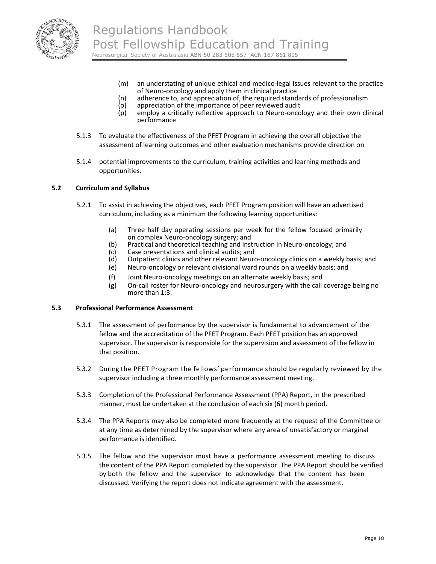

- (m) an understating of unique ethical and medico-legal issues relevant to the practice of Neuro‐oncology and apply them in clinical practice
- (n) adherence to, and appreciation of, the required standards of professionalism
- $(a)$  appreciation of the importance of peer reviewed audit  $(a)$  employ a critically reflective approach to Neuro-oncol
- employ a critically reflective approach to Neuro-oncology and their own clinical performance
- 5.1.3 To evaluate the effectiveness of the PFET Program in achieving the overall objective the assessment of learning outcomes and other evaluation mechanisms provide direction on
- 5.1.4 potential improvements to the curriculum, training activities and learning methods and opportunities.

#### **5.2 Curriculum and Syllabus**

- 5.2.1 To assist in achieving the objectives, each PFET Program position will have an advertised curriculum, including as a minimum the following learning opportunities:
	- (a) Three half day operating sessions per week for the fellow focused primarily on complex Neuro‐oncology surgery; and
	- (b) Practical and theoretical teaching and instruction in Neuro-oncology; and
	- (c) Case presentations and clinical audits; and
	- Outpatient clinics and other relevant Neuro-oncology clinics on a weekly basis; and
	- (e) Neuro‐oncology or relevant divisional ward rounds on a weekly basis; and
	- (f) Joint Neuro‐oncology meetings on an alternate weekly basis; and
	- (g) On‐call roster for Neuro‐oncology and neurosurgery with the call coverage being no more than 1:3.

#### **5.3 Professional Performance Assessment**

- 5.3.1 The assessment of performance by the supervisor is fundamental to advancement of the fellow and the accreditation of the PFET Program. Each PFET position has an approved supervisor. The supervisor is responsible for the supervision and assessment of the fellow in that position.
- 5.3.2 During the PFET Program the fellows' performance should be regularly reviewed by the supervisor including a three monthly performance assessment meeting.
- 5.3.3 Completion of the Professional Performance Assessment (PPA) Report, in the prescribed manner, must be undertaken at the conclusion of each six (6) month period.
- 5.3.4 The PPA Reports may also be completed more frequently at the request of the Committee or at any time as determined by the supervisor where any area of unsatisfactory or marginal performance is identified.
- 5.3.5 The fellow and the supervisor must have a performance assessment meeting to discuss the content of the PPA Report completed by the supervisor. The PPA Report should be verified by both the fellow and the supervisor to acknowledge that the content has been discussed. Verifying the report does not indicate agreement with the assessment.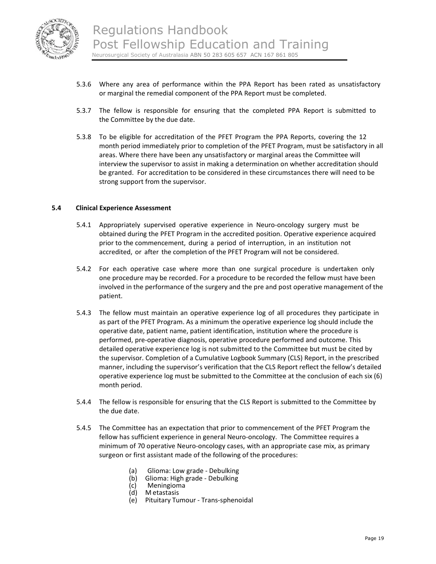

- 5.3.6 Where any area of performance within the PPA Report has been rated as unsatisfactory or marginal the remedial component of the PPA Report must be completed.
- 5.3.7 The fellow is responsible for ensuring that the completed PPA Report is submitted to the Committee by the due date.
- 5.3.8 To be eligible for accreditation of the PFET Program the PPA Reports, covering the 12 month period immediately prior to completion of the PFET Program, must be satisfactory in all areas. Where there have been any unsatisfactory or marginal areas the Committee will interview the supervisor to assist in making a determination on whether accreditation should be granted. For accreditation to be considered in these circumstances there will need to be strong support from the supervisor.

#### **5.4 Clinical Experience Assessment**

- 5.4.1 Appropriately supervised operative experience in Neuro‐oncology surgery must be obtained during the PFET Program in the accredited position. Operative experience acquired prior to the commencement, during a period of interruption, in an institution not accredited, or after the completion of the PFET Program will not be considered.
- 5.4.2 For each operative case where more than one surgical procedure is undertaken only one procedure may be recorded. For a procedure to be recorded the fellow must have been involved in the performance of the surgery and the pre and post operative management of the patient.
- 5.4.3 The fellow must maintain an operative experience log of all procedures they participate in as part of the PFET Program. As a minimum the operative experience log should include the operative date, patient name, patient identification, institution where the procedure is performed, pre‐operative diagnosis, operative procedure performed and outcome. This detailed operative experience log is not submitted to the Committee but must be cited by the supervisor. Completion of a Cumulative Logbook Summary (CLS) Report, in the prescribed manner, including the supervisor's verification that the CLS Report reflect the fellow's detailed operative experience log must be submitted to the Committee at the conclusion of each six (6) month period.
- 5.4.4 The fellow is responsible for ensuring that the CLS Report is submitted to the Committee by the due date.
- 5.4.5 The Committee has an expectation that prior to commencement of the PFET Program the fellow has sufficient experience in general Neuro-oncology. The Committee requires a minimum of 70 operative Neuro‐oncology cases, with an appropriate case mix, as primary surgeon or first assistant made of the following of the procedures:
	- (a) Glioma: Low grade Debulking<br>
	(b) Glioma: High grade Debulking<br>
	(c) Meningioma<br>
	(d) Metastasis
	-
	-
	- M etastasis
	- (e) Pituitary Tumour ‐ Trans‐sphenoidal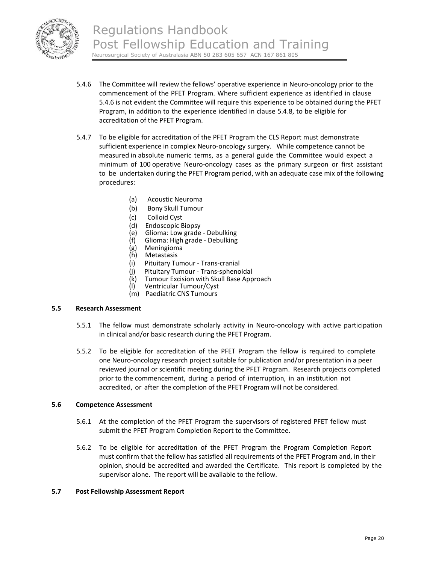

- 5.4.6 The Committee will review the fellows' operative experience in Neuro-oncology prior to the commencement of the PFET Program. Where sufficient experience as identified in clause 5.4.6 is not evident the Committee will require this experience to be obtained during the PFET Program, in addition to the experience identified in clause 5.4.8, to be eligible for accreditation of the PFET Program.
- 5.4.7 To be eligible for accreditation of the PFET Program the CLS Report must demonstrate sufficient experience in complex Neuro-oncology surgery. While competence cannot be measured in absolute numeric terms, as a general guide the Committee would expect a minimum of 100 operative Neuro-oncology cases as the primary surgeon or first assistant to be undertaken during the PFET Program period, with an adequate case mix of the following procedures:
	- (a) Acoustic Neuroma
	- (b) Bony Skull Tumour
	- (c) Colloid Cyst
	- (d) Endoscopic Biopsy<br>(e) Glioma: Low grade
	- (e) Glioma: Low grade ‐ Debulking
	- (f) Glioma: High grade ‐ Debulking
	- (g) Meningioma
	- (h) Metastasis
	- (i) Pituitary Tumour ‐ Trans‐cranial
	- (j) Pituitary Tumour ‐ Trans‐sphenoidal
	- (k) Tumour Excision with Skull Base Approach<br>(l) Ventricular Tumour/Cyst
	- Ventricular Tumour/Cyst (m) Paediatric CNS Tumours

#### **5.5 Research Assessment**

- 5.5.1 The fellow must demonstrate scholarly activity in Neuro-oncology with active participation in clinical and/or basic research during the PFET Program.
- 5.5.2 To be eligible for accreditation of the PFET Program the fellow is required to complete one Neuro‐oncology research project suitable for publication and/or presentation in a peer reviewed journal or scientific meeting during the PFET Program. Research projects completed prior to the commencement, during a period of interruption, in an institution not accredited, or after the completion of the PFET Program will not be considered.

#### **5.6 Competence Assessment**

- 5.6.1 At the completion of the PFET Program the supervisors of registered PFET fellow must submit the PFET Program Completion Report to the Committee.
- 5.6.2 To be eligible for accreditation of the PFET Program the Program Completion Report must confirm that the fellow has satisfied all requirements of the PFET Program and, in their opinion, should be accredited and awarded the Certificate. This report is completed by the supervisor alone. The report will be available to the fellow.

#### **5.7 Post Fellowship Assessment Report**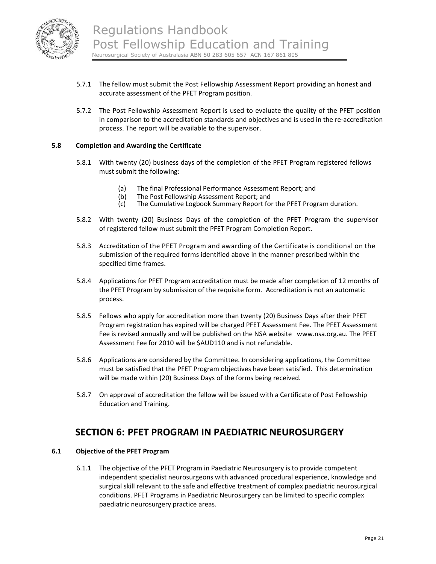

- 5.7.1 The fellow must submit the Post Fellowship Assessment Report providing an honest and accurate assessment of the PFET Program position.
- 5.7.2 The Post Fellowship Assessment Report is used to evaluate the quality of the PFET position in comparison to the accreditation standards and objectives and is used in the re‐accreditation process. The report will be available to the supervisor.

#### **5.8 Completion and Awarding the Certificate**

- 5.8.1 With twenty (20) business days of the completion of the PFET Program registered fellows must submit the following:
	- (a) The final Professional Performance Assessment Report; and
	- (b) The Post Fellowship Assessment Report; and<br>(c) The Cumulative Logbook Summary Report for
	- The Cumulative Logbook Summary Report for the PFET Program duration.
- 5.8.2 With twenty (20) Business Days of the completion of the PFET Program the supervisor of registered fellow must submit the PFET Program Completion Report.
- 5.8.3 Accreditation of the PFET Program and awarding of the Certificate is conditional on the submission of the required forms identified above in the manner prescribed within the specified time frames.
- 5.8.4 Applications for PFET Program accreditation must be made after completion of 12 months of the PFET Program by submission of the requisite form. Accreditation is not an automatic process.
- 5.8.5 Fellows who apply for accreditation more than twenty (20) Business Days after their PFET Program registration has expired will be charged PFET Assessment Fee. The PFET Assessment Fee is revised annually and will be published on the NSA website www.nsa.org.au. The PFET Assessment Fee for 2010 will be \$AUD110 and is not refundable.
- 5.8.6 Applications are considered by the Committee. In considering applications, the Committee must be satisfied that the PFET Program objectives have been satisfied. This determination will be made within (20) Business Days of the forms being received.
- 5.8.7 On approval of accreditation the fellow will be issued with a Certificate of Post Fellowship Education and Training.

# **SECTION 6: PFET PROGRAM IN PAEDIATRIC NEUROSURGERY**

## **6.1 Objective of the PFET Program**

6.1.1 The objective of the PFET Program in Paediatric Neurosurgery is to provide competent independent specialist neurosurgeons with advanced procedural experience, knowledge and surgical skill relevant to the safe and effective treatment of complex paediatric neurosurgical conditions. PFET Programs in Paediatric Neurosurgery can be limited to specific complex paediatric neurosurgery practice areas.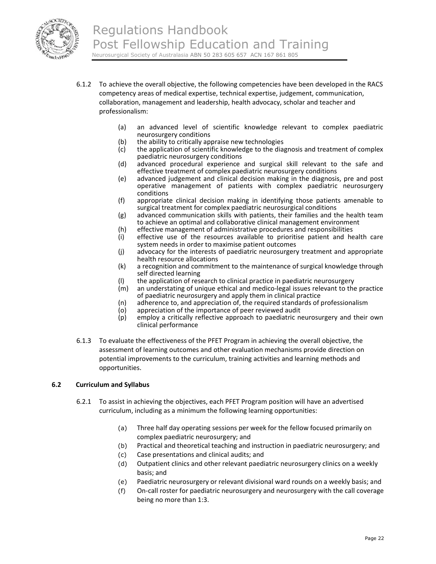

- 6.1.2 To achieve the overall objective, the following competencies have been developed in the RACS competency areas of medical expertise, technical expertise, judgement, communication, collaboration, management and leadership, health advocacy, scholar and teacher and professionalism:
	- (a) an advanced level of scientific knowledge relevant to complex paediatric neurosurgery conditions
	- (b) the ability to critically appraise new technologies
	- (c) the application of scientific knowledge to the diagnosis and treatment of complex paediatric neurosurgery conditions
	- (d) advanced procedural experience and surgical skill relevant to the safe and effective treatment of complex paediatric neurosurgery conditions
	- (e) advanced judgement and clinical decision making in the diagnosis, pre and post operative management of patients with complex paediatric neurosurgery conditions
	- (f) appropriate clinical decision making in identifying those patients amenable to surgical treatment for complex paediatric neurosurgical conditions
	- (g) advanced communication skills with patients, their families and the health team to achieve an optimal and collaborative clinical management environment
	- (h) effective management of administrative procedures and responsibilities
	- (i) effective use of the resources available to prioritise patient and health care system needs in order to maximise patient outcomes
	- (j) advocacy for the interests of paediatric neurosurgery treatment and appropriate health resource allocations
	- (k) a recognition and commitment to the maintenance of surgical knowledge through self directed learning
	- (I) the application of research to clinical practice in paediatric neurosurgery<br>(m) an understating of unique ethical and medico-legal issues relevant to the
	- an understating of unique ethical and medico-legal issues relevant to the practice of paediatric neurosurgery and apply them in clinical practice
	- (n) adherence to, and appreciation of, the required standards of professionalism
	- (o) appreciation of the importance of peer reviewed audit (p) employ a critically reflective approach to paediatric ne
	- employ a critically reflective approach to paediatric neurosurgery and their own clinical performance
- 6.1.3 To evaluate the effectiveness of the PFET Program in achieving the overall objective, the assessment of learning outcomes and other evaluation mechanisms provide direction on potential improvements to the curriculum, training activities and learning methods and opportunities.

### **6.2 Curriculum and Syllabus**

- 6.2.1 To assist in achieving the objectives, each PFET Program position will have an advertised curriculum, including as a minimum the following learning opportunities:
	- (a) Three half day operating sessions per week for the fellow focused primarily on complex paediatric neurosurgery; and
	- (b) Practical and theoretical teaching and instruction in paediatric neurosurgery; and
	- (c) Case presentations and clinical audits; and
	- (d) Outpatient clinics and other relevant paediatric neurosurgery clinics on a weekly basis; and
	- (e) Paediatric neurosurgery or relevant divisional ward rounds on a weekly basis; and
	- (f) On‐call roster for paediatric neurosurgery and neurosurgery with the call coverage being no more than 1:3.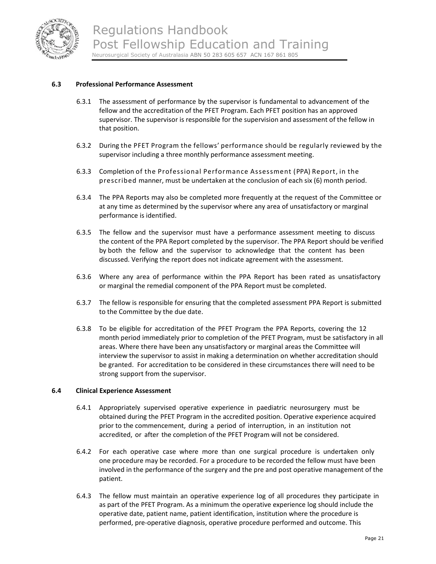

### **6.3 Professional Performance Assessment**

- 6.3.1 The assessment of performance by the supervisor is fundamental to advancement of the fellow and the accreditation of the PFET Program. Each PFET position has an approved supervisor. The supervisor is responsible for the supervision and assessment of the fellow in that position.
- 6.3.2 During the PFET Program the fellows' performance should be regularly reviewed by the supervisor including a three monthly performance assessment meeting.
- 6.3.3 Completion of the Professional Performance Assessment (PPA) Report, in the prescribed manner, must be undertaken at the conclusion of each six (6) month period.
- 6.3.4 The PPA Reports may also be completed more frequently at the request of the Committee or at any time as determined by the supervisor where any area of unsatisfactory or marginal performance is identified.
- 6.3.5 The fellow and the supervisor must have a performance assessment meeting to discuss the content of the PPA Report completed by the supervisor. The PPA Report should be verified by both the fellow and the supervisor to acknowledge that the content has been discussed. Verifying the report does not indicate agreement with the assessment.
- 6.3.6 Where any area of performance within the PPA Report has been rated as unsatisfactory or marginal the remedial component of the PPA Report must be completed.
- 6.3.7 The fellow is responsible for ensuring that the completed assessment PPA Report is submitted to the Committee by the due date.
- 6.3.8 To be eligible for accreditation of the PFET Program the PPA Reports, covering the 12 month period immediately prior to completion of the PFET Program, must be satisfactory in all areas. Where there have been any unsatisfactory or marginal areas the Committee will interview the supervisor to assist in making a determination on whether accreditation should be granted. For accreditation to be considered in these circumstances there will need to be strong support from the supervisor.

#### **6.4 Clinical Experience Assessment**

- 6.4.1 Appropriately supervised operative experience in paediatric neurosurgery must be obtained during the PFET Program in the accredited position. Operative experience acquired prior to the commencement, during a period of interruption, in an institution not accredited, or after the completion of the PFET Program will not be considered.
- 6.4.2 For each operative case where more than one surgical procedure is undertaken only one procedure may be recorded. For a procedure to be recorded the fellow must have been involved in the performance of the surgery and the pre and post operative management of the patient.
- 6.4.3 The fellow must maintain an operative experience log of all procedures they participate in as part of the PFET Program. As a minimum the operative experience log should include the operative date, patient name, patient identification, institution where the procedure is performed, pre‐operative diagnosis, operative procedure performed and outcome. This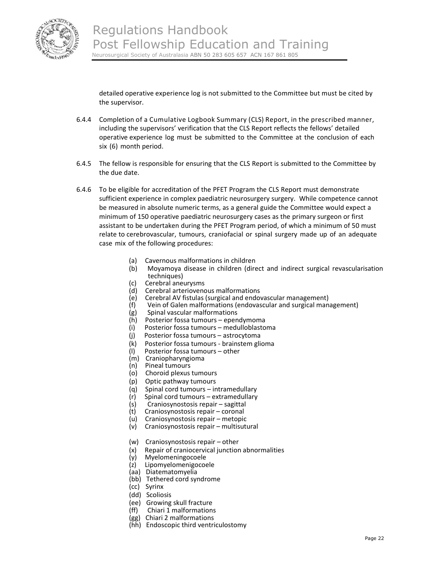

detailed operative experience log is not submitted to the Committee but must be cited by the supervisor.

- 6.4.4 Completion of a Cumulative Logbook Summary (CLS) Report, in the prescribed manner, including the supervisors' verification that the CLS Report reflects the fellows' detailed operative experience log must be submitted to the Committee at the conclusion of each six (6) month period.
- 6.4.5 The fellow is responsible for ensuring that the CLS Report is submitted to the Committee by the due date.
- 6.4.6 To be eligible for accreditation of the PFET Program the CLS Report must demonstrate sufficient experience in complex paediatric neurosurgery surgery. While competence cannot be measured in absolute numeric terms, as a general guide the Committee would expect a minimum of 150 operative paediatric neurosurgery cases as the primary surgeon or first assistant to be undertaken during the PFET Program period, of which a minimum of 50 must relate to cerebrovascular, tumours, craniofacial or spinal surgery made up of an adequate case mix of the following procedures:
	- (a) Cavernous malformations in children
	- (b) Moyamoya disease in children (direct and indirect surgical revascularisation techniques)
	- (c) Cerebral aneurysms
	- (d) Cerebral arteriovenous malformations
	- (e) Cerebral AV fistulas (surgical and endovascular management)
	- (f) Vein of Galen malformations (endovascular and surgical management)<br>(g) Spinal vascular malformations
	- (g) Spinal vascular malformations
	- (h) Posterior fossa tumours ependymoma
	- (i) Posterior fossa tumours medulloblastoma
	- (j) Posterior fossa tumours astrocytoma
	- (k) Posterior fossa tumours ‐ brainstem glioma
	- (l) Posterior fossa tumours other
	- (m) Craniopharyngioma
	- (n) Pineal tumours
	- (o) Choroid plexus tumours
	- (p) Optic pathway tumours
	- (q) Spinal cord tumours intramedullary
	- $(r)$  Spinal cord tumours extramedullary
	- (s) Craniosynostosis repair sagittal
	- (t) Craniosynostosis repair coronal
	- (u) Craniosynostosis repair metopic
	- (v) Craniosynostosis repair multisutural
	- (w) Craniosynostosis repair other
	- (x) Repair of craniocervical junction abnormalities
	- (y) Myelomeningocoele
	- (z) Lipomyelomenigocoele
	- (aa) Diatematomyelia
	- (bb) Tethered cord syndrome
	- (cc) Syrinx
	- (dd) Scoliosis
	- (ee) Growing skull fracture
	- (ff) Chiari 1 malformations
	- (gg) Chiari 2 malformations
	- (hh) Endoscopic third ventriculostomy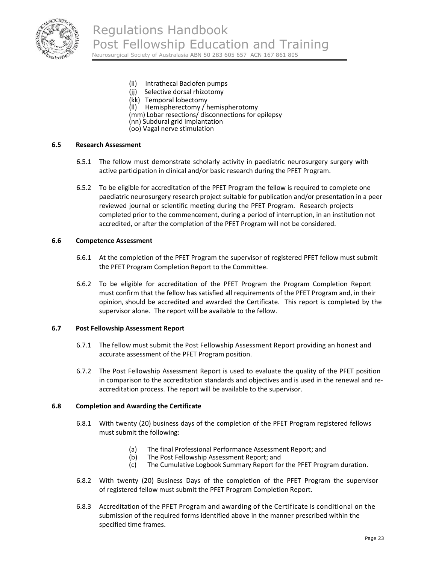

- (ii) Intrathecal Baclofen pumps
- (ii) Selective dorsal rhizotomy
- (kk) Temporal lobectomy
- (ll) Hemispherectomy / hemispherotomy
- (mm) Lobar resections/ disconnections for epilepsy
- (nn) Subdural grid implantation
- (oo) Vagal nerve stimulation

#### **6.5 Research Assessment**

- 6.5.1 The fellow must demonstrate scholarly activity in paediatric neurosurgery surgery with active participation in clinical and/or basic research during the PFET Program.
- 6.5.2 To be eligible for accreditation of the PFET Program the fellow is required to complete one paediatric neurosurgery research project suitable for publication and/or presentation in a peer reviewed journal or scientific meeting during the PFET Program. Research projects completed prior to the commencement, during a period of interruption, in an institution not accredited, or after the completion of the PFET Program will not be considered.

#### **6.6 Competence Assessment**

- 6.6.1 At the completion of the PFET Program the supervisor of registered PFET fellow must submit the PFET Program Completion Report to the Committee.
- 6.6.2 To be eligible for accreditation of the PFET Program the Program Completion Report must confirm that the fellow has satisfied all requirements of the PFET Program and, in their opinion, should be accredited and awarded the Certificate. This report is completed by the supervisor alone. The report will be available to the fellow.

#### **6.7 Post Fellowship Assessment Report**

- 6.7.1 The fellow must submit the Post Fellowship Assessment Report providing an honest and accurate assessment of the PFET Program position.
- 6.7.2 The Post Fellowship Assessment Report is used to evaluate the quality of the PFET position in comparison to the accreditation standards and objectives and is used in the renewal and re‐ accreditation process. The report will be available to the supervisor.

#### **6.8 Completion and Awarding the Certificate**

- 6.8.1 With twenty (20) business days of the completion of the PFET Program registered fellows must submit the following:
	- (a) The final Professional Performance Assessment Report; and
	- (b) The Post Fellowship Assessment Report; and<br>(c) The Cumulative Logbook Summary Report for
	- The Cumulative Logbook Summary Report for the PFET Program duration.
- 6.8.2 With twenty (20) Business Days of the completion of the PFET Program the supervisor of registered fellow must submit the PFET Program Completion Report.
- 6.8.3 Accreditation of the PFET Program and awarding of the Certificate is conditional on the submission of the required forms identified above in the manner prescribed within the specified time frames.